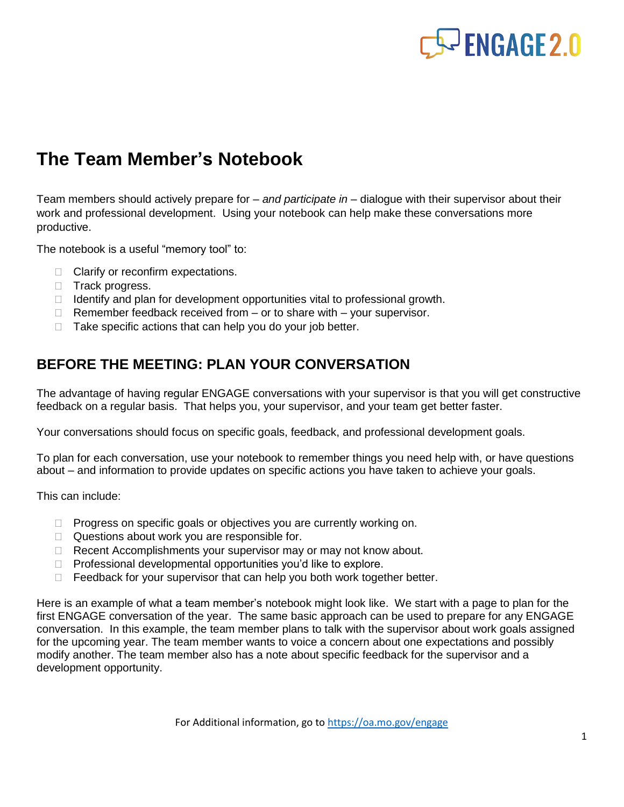# **ENGAGE 2.0**

## **The Team Member's Notebook**

Team members should actively prepare for – *and participate in* – dialogue with their supervisor about their work and professional development. Using your notebook can help make these conversations more productive.

The notebook is a useful "memory tool" to:

- $\Box$  Clarify or reconfirm expectations.
- Track progress.
- $\Box$  Identify and plan for development opportunities vital to professional growth.
- $\Box$  Remember feedback received from  $-\circ$  to share with  $-\circ$  your supervisor.
- $\Box$  Take specific actions that can help you do your job better.

### **BEFORE THE MEETING: PLAN YOUR CONVERSATION**

The advantage of having regular ENGAGE conversations with your supervisor is that you will get constructive feedback on a regular basis. That helps you, your supervisor, and your team get better faster.

Your conversations should focus on specific goals, feedback, and professional development goals.

To plan for each conversation, use your notebook to remember things you need help with, or have questions about – and information to provide updates on specific actions you have taken to achieve your goals.

This can include:

- $\Box$  Progress on specific goals or objectives you are currently working on.
- Questions about work you are responsible for.
- □ Recent Accomplishments your supervisor may or may not know about.
- $\Box$  Professional developmental opportunities you'd like to explore.
- $\Box$  Feedback for your supervisor that can help you both work together better.

Here is an example of what a team member's notebook might look like. We start with a page to plan for the first ENGAGE conversation of the year. The same basic approach can be used to prepare for any ENGAGE conversation. In this example, the team member plans to talk with the supervisor about work goals assigned for the upcoming year. The team member wants to voice a concern about one expectations and possibly modify another. The team member also has a note about specific feedback for the supervisor and a development opportunity.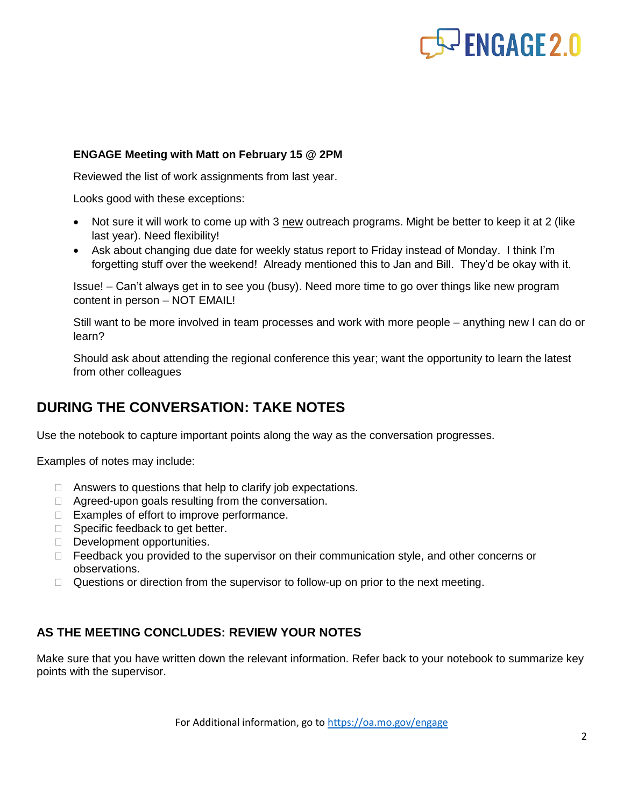# **S-ENGAGE 2.0**

#### **ENGAGE Meeting with Matt on February 15 @ 2PM**

Reviewed the list of work assignments from last year.

Looks good with these exceptions:

- Not sure it will work to come up with 3 new outreach programs. Might be better to keep it at 2 (like last year). Need flexibility!
- Ask about changing due date for weekly status report to Friday instead of Monday. I think I'm forgetting stuff over the weekend! Already mentioned this to Jan and Bill. They'd be okay with it.

Issue! – Can't always get in to see you (busy). Need more time to go over things like new program content in person – NOT EMAIL!

Still want to be more involved in team processes and work with more people – anything new I can do or learn?

Should ask about attending the regional conference this year; want the opportunity to learn the latest from other colleagues

### **DURING THE CONVERSATION: TAKE NOTES**

Use the notebook to capture important points along the way as the conversation progresses.

Examples of notes may include:

- $\Box$  Answers to questions that help to clarify job expectations.
- $\Box$  Agreed-upon goals resulting from the conversation.
- $\Box$  Examples of effort to improve performance.
- $\Box$  Specific feedback to get better.
- Development opportunities.
- $\Box$  Feedback you provided to the supervisor on their communication style, and other concerns or observations.
- $\Box$  Questions or direction from the supervisor to follow-up on prior to the next meeting.

#### **AS THE MEETING CONCLUDES: REVIEW YOUR NOTES**

Make sure that you have written down the relevant information. Refer back to your notebook to summarize key points with the supervisor.

For Additional information, go to<https://oa.mo.gov/engage>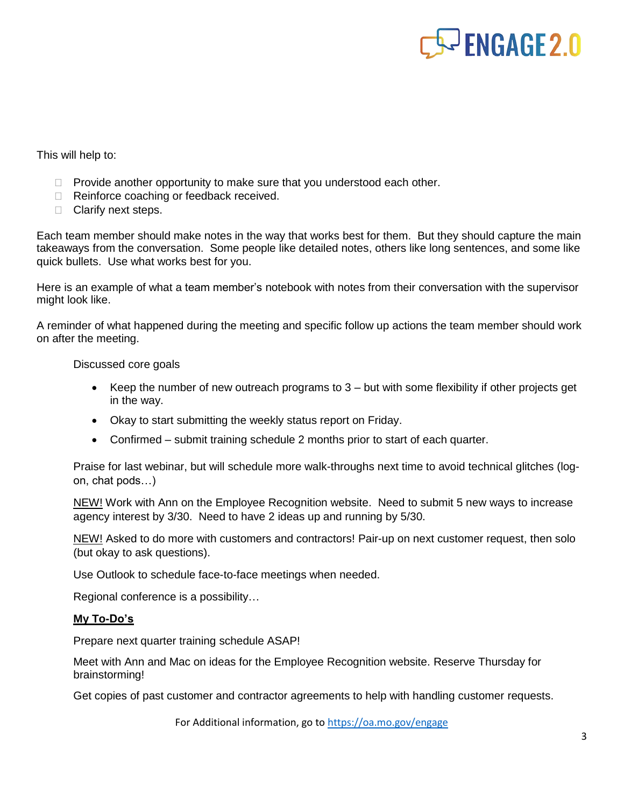

This will help to:

- $\Box$  Provide another opportunity to make sure that you understood each other.
- □ Reinforce coaching or feedback received.
- □ Clarify next steps.

Each team member should make notes in the way that works best for them. But they should capture the main takeaways from the conversation. Some people like detailed notes, others like long sentences, and some like quick bullets. Use what works best for you.

Here is an example of what a team member's notebook with notes from their conversation with the supervisor might look like.

A reminder of what happened during the meeting and specific follow up actions the team member should work on after the meeting.

Discussed core goals

- $\bullet$  Keep the number of new outreach programs to  $3 -$  but with some flexibility if other projects get in the way.
- Okay to start submitting the weekly status report on Friday.
- Confirmed submit training schedule 2 months prior to start of each quarter.

Praise for last webinar, but will schedule more walk-throughs next time to avoid technical glitches (logon, chat pods…)

NEW! Work with Ann on the Employee Recognition website. Need to submit 5 new ways to increase agency interest by 3/30. Need to have 2 ideas up and running by 5/30.

NEW! Asked to do more with customers and contractors! Pair-up on next customer request, then solo (but okay to ask questions).

Use Outlook to schedule face-to-face meetings when needed.

Regional conference is a possibility…

#### **My To-Do's**

Prepare next quarter training schedule ASAP!

Meet with Ann and Mac on ideas for the Employee Recognition website. Reserve Thursday for brainstorming!

Get copies of past customer and contractor agreements to help with handling customer requests.

For Additional information, go to<https://oa.mo.gov/engage>